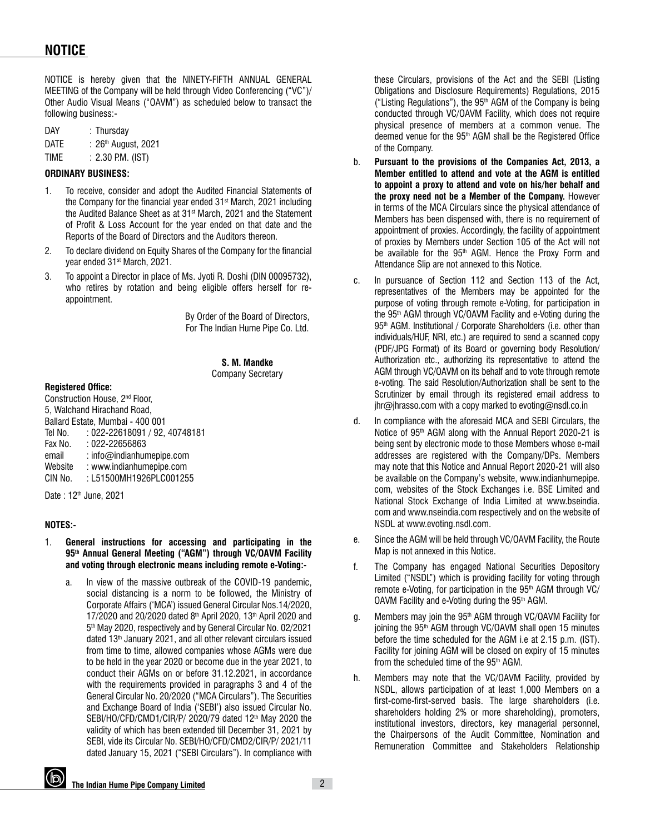# **NOTICE**

NOTICE is hereby given that the NINETY-FIFTH ANNUAL GENERAL MEETING of the Company will be held through Video Conferencing ("VC")/ Other Audio Visual Means ("OAVM") as scheduled below to transact the following business:-

| DAY  | $:$ Thursday                    |
|------|---------------------------------|
| DATE | : 26 <sup>th</sup> August, 2021 |

TIME : 2.30 P.M. (IST)

## **ORDINARY BUSINESS:**

- 1. To receive, consider and adopt the Audited Financial Statements of the Company for the financial year ended 31<sup>st</sup> March, 2021 including the Audited Balance Sheet as at 31<sup>st</sup> March, 2021 and the Statement of Profit & Loss Account for the year ended on that date and the Reports of the Board of Directors and the Auditors thereon.
- 2. To declare dividend on Equity Shares of the Company for the financial year ended 31st March, 2021.
- 3. To appoint a Director in place of Ms. Jyoti R. Doshi (DIN 00095732), who retires by rotation and being eligible offers herself for reappointment.

By Order of the Board of Directors, For The Indian Hume Pipe Co. Ltd.

> **S. M. Mandke** Company Secretary

## **Registered Office:**

Construction House, 2nd Floor, 5, Walchand Hirachand Road, Ballard Estate, Mumbai - 400 001 Tel No. : 022-22618091 / 92, 40748181 Fax No. : 022-22656863 email : info@indianhumepipe.com Website : www.indianhumepipe.com CIN No. : L51500MH1926PLC001255

Date: 12<sup>th</sup> June, 2021

#### **NOTES:-**

- 1. **General instructions for accessing and participating in the 95th Annual General Meeting ("AGM") through VC/OAVM Facility and voting through electronic means including remote e-Voting:**
	- a. In view of the massive outbreak of the COVID-19 pandemic, social distancing is a norm to be followed, the Ministry of Corporate Affairs ('MCA') issued General Circular Nos.14/2020, 17/2020 and 20/2020 dated 8<sup>th</sup> April 2020, 13<sup>th</sup> April 2020 and 5<sup>th</sup> May 2020, respectively and by General Circular No. 02/2021 dated 13<sup>th</sup> January 2021, and all other relevant circulars issued from time to time, allowed companies whose AGMs were due to be held in the year 2020 or become due in the year 2021, to conduct their AGMs on or before 31.12.2021, in accordance with the requirements provided in paragraphs 3 and 4 of the General Circular No. 20/2020 ("MCA Circulars"). The Securities and Exchange Board of India ('SEBI') also issued Circular No. SEBI/HO/CFD/CMD1/CIR/P/ 2020/79 dated 12<sup>th</sup> May 2020 the validity of which has been extended till December 31, 2021 by SEBI, vide its Circular No. SEBI/HO/CFD/CMD2/CIR/P/ 2021/11 dated January 15, 2021 ("SEBI Circulars"). In compliance with

these Circulars, provisions of the Act and the SEBI (Listing Obligations and Disclosure Requirements) Regulations, 2015 ("Listing Regulations"), the  $95<sup>th</sup>$  AGM of the Company is being conducted through VC/OAVM Facility, which does not require physical presence of members at a common venue. The deemed venue for the 95th AGM shall be the Registered Office of the Company.

- b. **Pursuant to the provisions of the Companies Act, 2013, a Member entitled to attend and vote at the AGM is entitled to appoint a proxy to attend and vote on his/her behalf and the proxy need not be a Member of the Company.** However in terms of the MCA Circulars since the physical attendance of Members has been dispensed with, there is no requirement of appointment of proxies. Accordingly, the facility of appointment of proxies by Members under Section 105 of the Act will not be available for the  $95<sup>th</sup>$  AGM. Hence the Proxy Form and Attendance Slip are not annexed to this Notice.
- c. In pursuance of Section 112 and Section 113 of the Act, representatives of the Members may be appointed for the purpose of voting through remote e-Voting, for participation in the 95<sup>th</sup> AGM through VC/OAVM Facility and e-Voting during the 95<sup>th</sup> AGM. Institutional / Corporate Shareholders (i.e. other than individuals/HUF, NRI, etc.) are required to send a scanned copy (PDF/JPG Format) of its Board or governing body Resolution/ Authorization etc., authorizing its representative to attend the AGM through VC/OAVM on its behalf and to vote through remote e-voting. The said Resolution/Authorization shall be sent to the Scrutinizer by email through its registered email address to jhr@jhrasso.com with a copy marked to evoting@nsdl.co.in
- d. In compliance with the aforesaid MCA and SEBI Circulars, the Notice of 95th AGM along with the Annual Report 2020-21 is being sent by electronic mode to those Members whose e-mail addresses are registered with the Company/DPs. Members may note that this Notice and Annual Report 2020-21 will also be available on the Company's website, www.indianhumepipe. com, websites of the Stock Exchanges i.e. BSE Limited and National Stock Exchange of India Limited at www.bseindia. com and www.nseindia.com respectively and on the website of NSDL at www.evoting.nsdl.com.
- e. Since the AGM will be held through VC/OAVM Facility, the Route Map is not annexed in this Notice.
- f. The Company has engaged National Securities Depository Limited ("NSDL") which is providing facility for voting through remote e-Voting, for participation in the 95th AGM through VC/ OAVM Facility and e-Voting during the 95<sup>th</sup> AGM.
- g. Members may join the 95<sup>th</sup> AGM through VC/OAVM Facility for joining the 95<sup>th</sup> AGM through VC/OAVM shall open 15 minutes before the time scheduled for the AGM i.e at 2.15 p.m. (IST). Facility for joining AGM will be closed on expiry of 15 minutes from the scheduled time of the  $95<sup>th</sup>$  AGM.
- h. Members may note that the VC/OAVM Facility, provided by NSDL, allows participation of at least 1,000 Members on a first-come-first-served basis. The large shareholders (i.e. shareholders holding 2% or more shareholding), promoters, institutional investors, directors, key managerial personnel, the Chairpersons of the Audit Committee, Nomination and Remuneration Committee and Stakeholders Relationship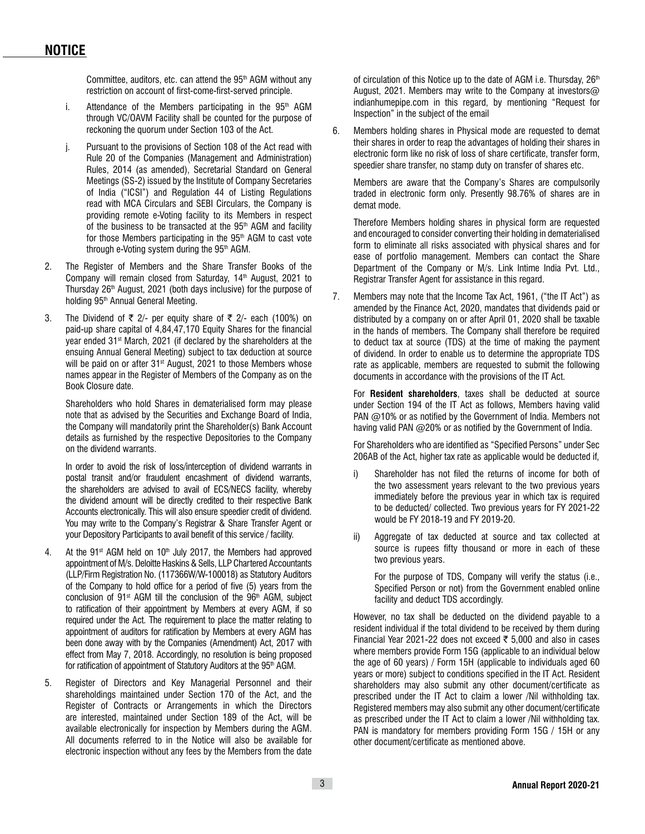Committee, auditors, etc. can attend the  $95<sup>th</sup>$  AGM without any restriction on account of first-come-first-served principle.

- i. Attendance of the Members participating in the  $95<sup>th</sup>$  AGM through VC/OAVM Facility shall be counted for the purpose of reckoning the quorum under Section 103 of the Act.
- j. Pursuant to the provisions of Section 108 of the Act read with Rule 20 of the Companies (Management and Administration) Rules, 2014 (as amended), Secretarial Standard on General Meetings (SS-2) issued by the Institute of Company Secretaries of India ("ICSI") and Regulation 44 of Listing Regulations read with MCA Circulars and SEBI Circulars, the Company is providing remote e-Voting facility to its Members in respect of the business to be transacted at the 95<sup>th</sup> AGM and facility for those Members participating in the 95<sup>th</sup> AGM to cast vote through e-Voting system during the 95<sup>th</sup> AGM.
- 2. The Register of Members and the Share Transfer Books of the Company will remain closed from Saturday, 14<sup>th</sup> August, 2021 to Thursday 26<sup>th</sup> August, 2021 (both days inclusive) for the purpose of holding 95th Annual General Meeting.
- 3. The Dividend of  $\bar{\tau}$  2/- per equity share of  $\bar{\tau}$  2/- each (100%) on paid-up share capital of 4,84,47,170 Equity Shares for the financial year ended 31st March, 2021 (if declared by the shareholders at the ensuing Annual General Meeting) subject to tax deduction at source will be paid on or after 31<sup>st</sup> August, 2021 to those Members whose names appear in the Register of Members of the Company as on the Book Closure date.

Shareholders who hold Shares in dematerialised form may please note that as advised by the Securities and Exchange Board of India, the Company will mandatorily print the Shareholder(s) Bank Account details as furnished by the respective Depositories to the Company on the dividend warrants.

In order to avoid the risk of loss/interception of dividend warrants in postal transit and/or fraudulent encashment of dividend warrants, the shareholders are advised to avail of ECS/NECS facility, whereby the dividend amount will be directly credited to their respective Bank Accounts electronically. This will also ensure speedier credit of dividend. You may write to the Company's Registrar & Share Transfer Agent or your Depository Participants to avail benefit of this service / facility.

- 4. At the 91<sup>st</sup> AGM held on 10<sup>th</sup> July 2017, the Members had approved appointment of M/s. Deloitte Haskins & Sells, LLP Chartered Accountants (LLP/Firm Registration No. (117366W/W-100018) as Statutory Auditors of the Company to hold office for a period of five (5) years from the conclusion of  $91^{st}$  AGM till the conclusion of the  $96^{th}$  AGM, subject to ratification of their appointment by Members at every AGM, if so required under the Act. The requirement to place the matter relating to appointment of auditors for ratification by Members at every AGM has been done away with by the Companies (Amendment) Act, 2017 with effect from May 7, 2018. Accordingly, no resolution is being proposed for ratification of appointment of Statutory Auditors at the 95<sup>th</sup> AGM.
- 5. Register of Directors and Key Managerial Personnel and their shareholdings maintained under Section 170 of the Act, and the Register of Contracts or Arrangements in which the Directors are interested, maintained under Section 189 of the Act, will be available electronically for inspection by Members during the AGM. All documents referred to in the Notice will also be available for electronic inspection without any fees by the Members from the date

of circulation of this Notice up to the date of AGM i.e. Thursday,  $26<sup>th</sup>$ August, 2021. Members may write to the Company at investors@ indianhumepipe.com in this regard, by mentioning "Request for Inspection" in the subject of the email

6. Members holding shares in Physical mode are requested to demat their shares in order to reap the advantages of holding their shares in electronic form like no risk of loss of share certificate, transfer form, speedier share transfer, no stamp duty on transfer of shares etc.

 Members are aware that the Company's Shares are compulsorily traded in electronic form only. Presently 98.76% of shares are in demat mode.

 Therefore Members holding shares in physical form are requested and encouraged to consider converting their holding in dematerialised form to eliminate all risks associated with physical shares and for ease of portfolio management. Members can contact the Share Department of the Company or M/s. Link Intime India Pvt. Ltd., Registrar Transfer Agent for assistance in this regard.

7. Members may note that the Income Tax Act, 1961, ("the IT Act") as amended by the Finance Act, 2020, mandates that dividends paid or distributed by a company on or after April 01, 2020 shall be taxable in the hands of members. The Company shall therefore be required to deduct tax at source (TDS) at the time of making the payment of dividend. In order to enable us to determine the appropriate TDS rate as applicable, members are requested to submit the following documents in accordance with the provisions of the IT Act.

For **Resident shareholders**, taxes shall be deducted at source under Section 194 of the IT Act as follows, Members having valid PAN @10% or as notified by the Government of India. Members not having valid PAN @20% or as notified by the Government of India.

For Shareholders who are identified as "Specified Persons" under Sec 206AB of the Act, higher tax rate as applicable would be deducted if,

- i) Shareholder has not filed the returns of income for both of the two assessment years relevant to the two previous years immediately before the previous year in which tax is required to be deducted/ collected. Two previous years for FY 2021-22 would be FY 2018-19 and FY 2019-20.
- ii) Aggregate of tax deducted at source and tax collected at source is rupees fifty thousand or more in each of these two previous years.

 For the purpose of TDS, Company will verify the status (i.e., Specified Person or not) from the Government enabled online facility and deduct TDS accordingly.

However, no tax shall be deducted on the dividend payable to a resident individual if the total dividend to be received by them during Financial Year 2021-22 does not exceed  $\bar{\tau}$  5,000 and also in cases where members provide Form 15G (applicable to an individual below the age of 60 years) / Form 15H (applicable to individuals aged 60 years or more) subject to conditions specified in the IT Act. Resident shareholders may also submit any other document/certificate as prescribed under the IT Act to claim a lower /Nil withholding tax. Registered members may also submit any other document/certificate as prescribed under the IT Act to claim a lower /Nil withholding tax. PAN is mandatory for members providing Form 15G / 15H or any other document/certificate as mentioned above.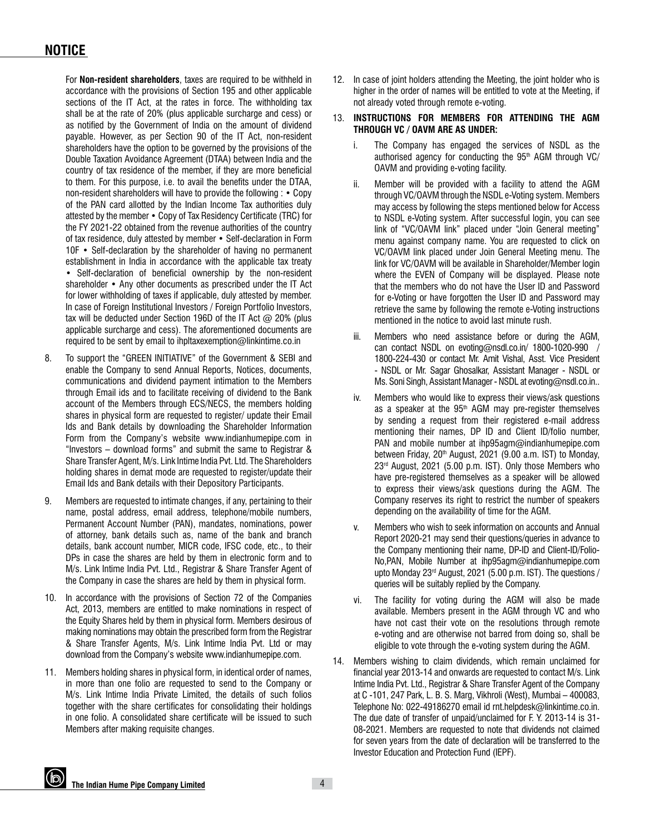For **Non-resident shareholders**, taxes are required to be withheld in accordance with the provisions of Section 195 and other applicable sections of the IT Act, at the rates in force. The withholding tax shall be at the rate of 20% (plus applicable surcharge and cess) or as notified by the Government of India on the amount of dividend payable. However, as per Section 90 of the IT Act, non-resident shareholders have the option to be governed by the provisions of the Double Taxation Avoidance Agreement (DTAA) between India and the country of tax residence of the member, if they are more beneficial to them. For this purpose, i.e. to avail the benefits under the DTAA, non-resident shareholders will have to provide the following : • Copy of the PAN card allotted by the Indian Income Tax authorities duly attested by the member • Copy of Tax Residency Certificate (TRC) for the FY 2021-22 obtained from the revenue authorities of the country of tax residence, duly attested by member • Self-declaration in Form 10F • Self-declaration by the shareholder of having no permanent establishment in India in accordance with the applicable tax treaty • Self-declaration of beneficial ownership by the non-resident shareholder • Any other documents as prescribed under the IT Act for lower withholding of taxes if applicable, duly attested by member. In case of Foreign Institutional Investors / Foreign Portfolio Investors, tax will be deducted under Section 196D of the IT Act  $@$  20% (plus applicable surcharge and cess). The aforementioned documents are required to be sent by email to ihpltaxexemption@linkintime.co.in

- 8. To support the "GREEN INITIATIVE" of the Government & SEBI and enable the Company to send Annual Reports, Notices, documents, communications and dividend payment intimation to the Members through Email ids and to facilitate receiving of dividend to the Bank account of the Members through ECS/NECS, the members holding shares in physical form are requested to register/ update their Email Ids and Bank details by downloading the Shareholder Information Form from the Company's website www.indianhumepipe.com in "Investors – download forms" and submit the same to Registrar & Share Transfer Agent, M/s. Link Intime India Pvt. Ltd. The Shareholders holding shares in demat mode are requested to register/update their Email Ids and Bank details with their Depository Participants.
- 9. Members are requested to intimate changes, if any, pertaining to their name, postal address, email address, telephone/mobile numbers, Permanent Account Number (PAN), mandates, nominations, power of attorney, bank details such as, name of the bank and branch details, bank account number, MICR code, IFSC code, etc., to their DPs in case the shares are held by them in electronic form and to M/s. Link Intime India Pvt. Ltd., Registrar & Share Transfer Agent of the Company in case the shares are held by them in physical form.
- 10. In accordance with the provisions of Section 72 of the Companies Act, 2013, members are entitled to make nominations in respect of the Equity Shares held by them in physical form. Members desirous of making nominations may obtain the prescribed form from the Registrar & Share Transfer Agents, M/s. Link Intime India Pvt. Ltd or may download from the Company's website www.indianhumepipe.com.
- 11. Members holding shares in physical form, in identical order of names, in more than one folio are requested to send to the Company or M/s. Link Intime India Private Limited, the details of such folios together with the share certificates for consolidating their holdings in one folio. A consolidated share certificate will be issued to such Members after making requisite changes.
- 12. In case of joint holders attending the Meeting, the joint holder who is higher in the order of names will be entitled to vote at the Meeting, if not already voted through remote e-voting.
- 13. **INSTRUCTIONS FOR MEMBERS FOR ATTENDING THE AGM THROUGH VC / OAVM ARE AS UNDER:**
	- i. The Company has engaged the services of NSDL as the authorised agency for conducting the  $95<sup>th</sup>$  AGM through VC/ OAVM and providing e-voting facility.
	- ii. Member will be provided with a facility to attend the AGM through VC/OAVM through the NSDL e-Voting system. Members may access by following the steps mentioned below for Access to NSDL e-Voting system. After successful login, you can see link of "VC/OAVM link" placed under "Join General meeting" menu against company name. You are requested to click on VC/OAVM link placed under Join General Meeting menu. The link for VC/OAVM will be available in Shareholder/Member login where the EVEN of Company will be displayed. Please note that the members who do not have the User ID and Password for e-Voting or have forgotten the User ID and Password may retrieve the same by following the remote e-Voting instructions mentioned in the notice to avoid last minute rush.
	- iii. Members who need assistance before or during the AGM, can contact NSDL on evoting@nsdl.co.in/ 1800-1020-990 1800-224-430 or contact Mr. Amit Vishal, Asst. Vice President - NSDL or Mr. Sagar Ghosalkar, Assistant Manager - NSDL or Ms. Soni Singh, Assistant Manager - NSDL at evoting@nsdl.co.in..
	- iv. Members who would like to express their views/ask questions as a speaker at the 95<sup>th</sup> AGM may pre-register themselves by sending a request from their registered e-mail address mentioning their names, DP ID and Client ID/folio number, PAN and mobile number at ihp95agm@indianhumepipe.com between Friday,  $20<sup>th</sup>$  August, 2021 (9.00 a.m. IST) to Monday, 23rd August, 2021 (5.00 p.m. IST). Only those Members who have pre-registered themselves as a speaker will be allowed to express their views/ask questions during the AGM. The Company reserves its right to restrict the number of speakers depending on the availability of time for the AGM.
	- v. Members who wish to seek information on accounts and Annual Report 2020-21 may send their questions/queries in advance to the Company mentioning their name, DP-ID and Client-ID/Folio-No,PAN, Mobile Number at ihp95agm@indianhumepipe.com upto Monday 23<sup>rd</sup> August, 2021 (5.00 p.m. IST). The questions / queries will be suitably replied by the Company.
	- vi. The facility for voting during the AGM will also be made available. Members present in the AGM through VC and who have not cast their vote on the resolutions through remote e-voting and are otherwise not barred from doing so, shall be eligible to vote through the e-voting system during the AGM.
- 14. Members wishing to claim dividends, which remain unclaimed for financial year 2013-14 and onwards are requested to contact M/s. Link Intime India Pvt. Ltd., Registrar & Share Transfer Agent of the Company at C -101, 247 Park, L. B. S. Marg, Vikhroli (West), Mumbai – 400083, Telephone No: 022-49186270 email id rnt.helpdesk@linkintime.co.in. The due date of transfer of unpaid/unclaimed for F. Y. 2013-14 is 31- 08-2021. Members are requested to note that dividends not claimed for seven years from the date of declaration will be transferred to the Investor Education and Protection Fund (IEPF).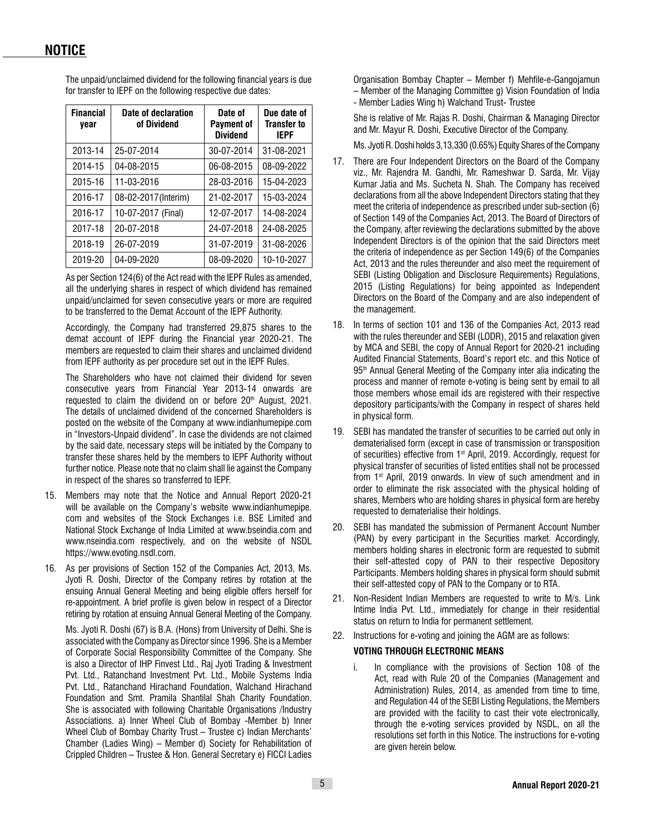The unpaid/unclaimed dividend for the following financial years is due for transfer to IEPF on the following respective due dates:

| <b>Financial</b><br>year | Date of declaration<br>of Dividend | Date of<br><b>Payment of</b><br><b>Dividend</b> | Due date of<br><b>Transfer to</b><br><b>IEPF</b> |
|--------------------------|------------------------------------|-------------------------------------------------|--------------------------------------------------|
| 2013-14                  | 25-07-2014                         | 30-07-2014                                      | 31-08-2021                                       |
| 2014-15                  | 04-08-2015                         | 06-08-2015                                      | 08-09-2022                                       |
| 2015-16                  | 11-03-2016                         | 28-03-2016                                      | 15-04-2023                                       |
| 2016-17                  | 08-02-2017 (Interim)               | 21-02-2017                                      | 15-03-2024                                       |
| 2016-17                  | 10-07-2017 (Final)                 | 12-07-2017                                      | 14-08-2024                                       |
| 2017-18                  | 20-07-2018                         | 24-07-2018                                      | 24-08-2025                                       |
| 2018-19                  | 26-07-2019                         | 31-07-2019                                      | 31-08-2026                                       |
| 2019-20                  | 04-09-2020                         | 08-09-2020                                      | 10-10-2027                                       |

As per Section 124(6) of the Act read with the IEPF Rules as amended, all the underlying shares in respect of which dividend has remained unpaid/unclaimed for seven consecutive years or more are required to be transferred to the Demat Account of the IEPF Authority.

Accordingly, the Company had transferred 29,875 shares to the demat account of IEPF during the Financial year 2020-21. The members are requested to claim their shares and unclaimed dividend from IEPF authority as per procedure set out in the IEPF Rules.

The Shareholders who have not claimed their dividend for seven consecutive years from Financial Year 2013-14 onwards are requested to claim the dividend on or before 20<sup>th</sup> August, 2021. The details of unclaimed dividend of the concerned Shareholders is posted on the website of the Company at www.indianhumepipe.com in "Investors-Unpaid dividend". In case the dividends are not claimed by the said date, necessary steps will be initiated by the Company to transfer these shares held by the members to IEPF Authority without further notice. Please note that no claim shall lie against the Company in respect of the shares so transferred to IEPF.

- 15. Members may note that the Notice and Annual Report 2020-21 will be available on the Company's website www.indianhumepipe. com and websites of the Stock Exchanges i.e. BSE Limited and National Stock Exchange of India Limited at www.bseindia.com and www.nseindia.com respectively, and on the website of NSDL https://www.evoting.nsdl.com.
- 16. As per provisions of Section 152 of the Companies Act, 2013, Ms. Jyoti R. Doshi, Director of the Company retires by rotation at the ensuing Annual General Meeting and being eligible offers herself for re-appointment. A brief profile is given below in respect of a Director retiring by rotation at ensuing Annual General Meeting of the Company.

Ms. Jyoti R. Doshi (67) is B.A. (Hons) from University of Delhi. She is associated with the Company as Director since 1996. She is a Member of Corporate Social Responsibility Committee of the Company. She is also a Director of IHP Finvest Ltd., Raj Jyoti Trading & Investment Pvt. Ltd., Ratanchand Investment Pvt. Ltd., Mobile Systems India Pvt. Ltd., Ratanchand Hirachand Foundation, Walchand Hirachand Foundation and Smt. Pramila Shantilal Shah Charity Foundation. She is associated with following Charitable Organisations /Industry Associations. a) Inner Wheel Club of Bombay -Member b) Inner Wheel Club of Bombay Charity Trust – Trustee c) Indian Merchants' Chamber (Ladies Wing) – Member d) Society for Rehabilitation of Crippled Children – Trustee & Hon. General Secretary e) FICCI Ladies

Organisation Bombay Chapter – Member f) Mehfile-e-Gangojamun – Member of the Managing Committee g) Vision Foundation of India - Member Ladies Wing h) Walchand Trust- Trustee

She is relative of Mr. Rajas R. Doshi, Chairman & Managing Director and Mr. Mayur R. Doshi, Executive Director of the Company.

Ms. Jyoti R. Doshi holds 3,13,330 (0.65%) Equity Shares of the Company

- 17. There are Four Independent Directors on the Board of the Company viz., Mr. Rajendra M. Gandhi, Mr. Rameshwar D. Sarda, Mr. Vijay Kumar Jatia and Ms. Sucheta N. Shah. The Company has received declarations from all the above Independent Directors stating that they meet the criteria of independence as prescribed under sub-section (6) of Section 149 of the Companies Act, 2013. The Board of Directors of the Company, after reviewing the declarations submitted by the above Independent Directors is of the opinion that the said Directors meet the criteria of independence as per Section 149(6) of the Companies Act, 2013 and the rules thereunder and also meet the requirement of SEBI (Listing Obligation and Disclosure Requirements) Regulations, 2015 (Listing Regulations) for being appointed as Independent Directors on the Board of the Company and are also independent of the management.
- 18. In terms of section 101 and 136 of the Companies Act, 2013 read with the rules thereunder and SEBI (LODR), 2015 and relaxation given by MCA and SEBI, the copy of Annual Report for 2020-21 including Audited Financial Statements, Board's report etc. and this Notice of 95<sup>th</sup> Annual General Meeting of the Company inter alia indicating the process and manner of remote e-voting is being sent by email to all those members whose email ids are registered with their respective depository participants/with the Company in respect of shares held in physical form.
- 19. SEBI has mandated the transfer of securities to be carried out only in dematerialised form (except in case of transmission or transposition of securities) effective from 1st April, 2019. Accordingly, request for physical transfer of securities of listed entities shall not be processed from 1st April, 2019 onwards. In view of such amendment and in order to eliminate the risk associated with the physical holding of shares, Members who are holding shares in physical form are hereby requested to dematerialise their holdings.
- 20. SEBI has mandated the submission of Permanent Account Number (PAN) by every participant in the Securities market. Accordingly, members holding shares in electronic form are requested to submit their self-attested copy of PAN to their respective Depository Participants. Members holding shares in physical form should submit their self-attested copy of PAN to the Company or to RTA.
- 21. Non-Resident Indian Members are requested to write to M/s. Link Intime India Pvt. Ltd., immediately for change in their residential status on return to India for permanent settlement.
- 22. Instructions for e-voting and joining the AGM are as follows:

## **VOTING THROUGH ELECTRONIC MEANS**

In compliance with the provisions of Section 108 of the Act, read with Rule 20 of the Companies (Management and Administration) Rules, 2014, as amended from time to time, and Regulation 44 of the SEBI Listing Regulations, the Members are provided with the facility to cast their vote electronically, through the e-voting services provided by NSDL, on all the resolutions set forth in this Notice. The instructions for e-voting are given herein below.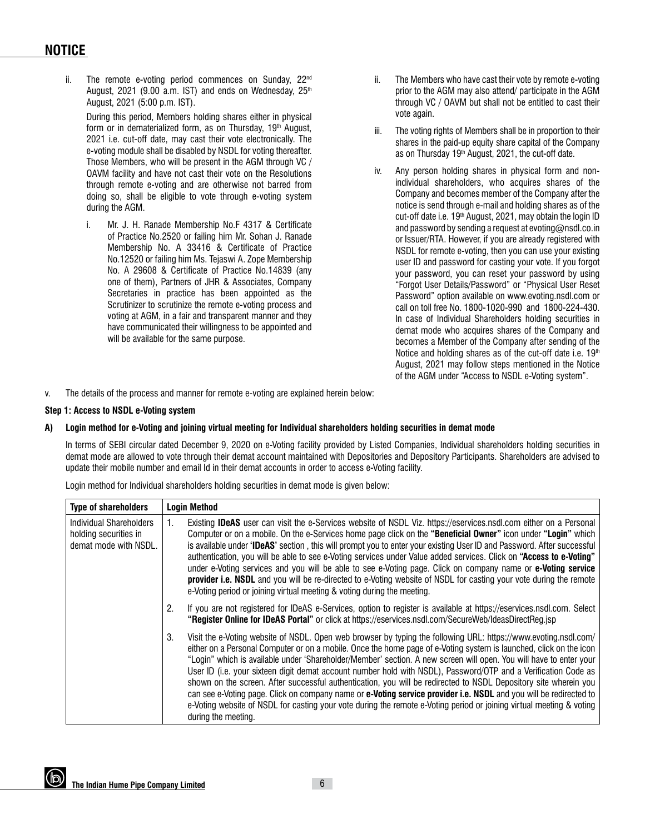## **NOTICE**

ii. The remote e-voting period commences on Sunday, 22<sup>nd</sup> August, 2021 (9.00 a.m. IST) and ends on Wednesday,  $25<sup>th</sup>$ August, 2021 (5:00 p.m. IST).

 During this period, Members holding shares either in physical form or in dematerialized form, as on Thursday,  $19<sup>th</sup>$  August, 2021 i.e. cut-off date, may cast their vote electronically. The e-voting module shall be disabled by NSDL for voting thereafter. Those Members, who will be present in the AGM through VC / OAVM facility and have not cast their vote on the Resolutions through remote e-voting and are otherwise not barred from doing so, shall be eligible to vote through e-voting system during the AGM.

i. Mr. J. H. Ranade Membership No.F 4317 & Certificate of Practice No.2520 or failing him Mr. Sohan J. Ranade Membership No. A 33416 & Certificate of Practice No.12520 or failing him Ms. Tejaswi A. Zope Membership No. A 29608 & Certificate of Practice No.14839 (any one of them), Partners of JHR & Associates, Company Secretaries in practice has been appointed as the Scrutinizer to scrutinize the remote e-voting process and voting at AGM, in a fair and transparent manner and they have communicated their willingness to be appointed and will be available for the same purpose.

- ii. The Members who have cast their vote by remote e-voting prior to the AGM may also attend/ participate in the AGM through VC / OAVM but shall not be entitled to cast their vote again.
- iii. The voting rights of Members shall be in proportion to their shares in the paid-up equity share capital of the Company as on Thursday 19<sup>th</sup> August, 2021, the cut-off date.
- iv. Any person holding shares in physical form and nonindividual shareholders, who acquires shares of the Company and becomes member of the Company after the notice is send through e-mail and holding shares as of the cut-off date i.e. 19th August, 2021, may obtain the login ID and password by sending a request at evoting@nsdl.co.in or Issuer/RTA. However, if you are already registered with NSDL for remote e-voting, then you can use your existing user ID and password for casting your vote. If you forgot your password, you can reset your password by using "Forgot User Details/Password" or "Physical User Reset Password" option available on www.evoting.nsdl.com or call on toll free No. 1800-1020-990 and 1800-224-430. In case of Individual Shareholders holding securities in demat mode who acquires shares of the Company and becomes a Member of the Company after sending of the Notice and holding shares as of the cut-off date i.e.  $19<sup>th</sup>$ August, 2021 may follow steps mentioned in the Notice of the AGM under "Access to NSDL e-Voting system".

v. The details of the process and manner for remote e-voting are explained herein below:

## **Step 1: Access to NSDL e-Voting system**

#### **A) Login method for e-Voting and joining virtual meeting for Individual shareholders holding securities in demat mode**

 In terms of SEBI circular dated December 9, 2020 on e-Voting facility provided by Listed Companies, Individual shareholders holding securities in demat mode are allowed to vote through their demat account maintained with Depositories and Depository Participants. Shareholders are advised to update their mobile number and email Id in their demat accounts in order to access e-Voting facility.

Login method for Individual shareholders holding securities in demat mode is given below:

| <b>Type of shareholders</b>                                               | <b>Login Method</b>                                                                                                                                                                                                                                                                                                                                                                                                                                                                                                                                                                                                                                                                                                                                                                                                                                                                |
|---------------------------------------------------------------------------|------------------------------------------------------------------------------------------------------------------------------------------------------------------------------------------------------------------------------------------------------------------------------------------------------------------------------------------------------------------------------------------------------------------------------------------------------------------------------------------------------------------------------------------------------------------------------------------------------------------------------------------------------------------------------------------------------------------------------------------------------------------------------------------------------------------------------------------------------------------------------------|
| Individual Shareholders<br>holding securities in<br>demat mode with NSDL. | Existing <b>IDeAS</b> user can visit the e-Services website of NSDL Viz. https://eservices.nsdl.com either on a Personal<br>Computer or on a mobile. On the e-Services home page click on the "Beneficial Owner" icon under "Login" which<br>is available under 'IDeAS' section, this will prompt you to enter your existing User ID and Password. After successful<br>authentication, you will be able to see e-Voting services under Value added services. Click on "Access to e-Voting"<br>under e-Voting services and you will be able to see e-Voting page. Click on company name or <b>e-Voting service</b><br>provider i.e. NSDL and you will be re-directed to e-Voting website of NSDL for casting your vote during the remote<br>e-Voting period or joining virtual meeting & voting during the meeting.                                                                 |
|                                                                           | 2.<br>If you are not registered for IDeAS e-Services, option to register is available at https://eservices.nsdl.com. Select<br>"Register Online for IDeAS Portal" or click at https://eservices.nsdl.com/SecureWeb/IdeasDirectReg.jsp                                                                                                                                                                                                                                                                                                                                                                                                                                                                                                                                                                                                                                              |
|                                                                           | 3.<br>Visit the e-Voting website of NSDL. Open web browser by typing the following URL: https://www.evoting.nsdl.com/<br>either on a Personal Computer or on a mobile. Once the home page of e-Voting system is launched, click on the icon<br>"Login" which is available under 'Shareholder/Member' section. A new screen will open. You will have to enter your<br>User ID (i.e. your sixteen digit demat account number hold with NSDL), Password/OTP and a Verification Code as<br>shown on the screen. After successful authentication, you will be redirected to NSDL Depository site wherein you<br>can see e-Voting page. Click on company name or <b>e-Voting service provider i.e. NSDL</b> and you will be redirected to<br>e-Voting website of NSDL for casting your vote during the remote e-Voting period or joining virtual meeting & voting<br>during the meeting. |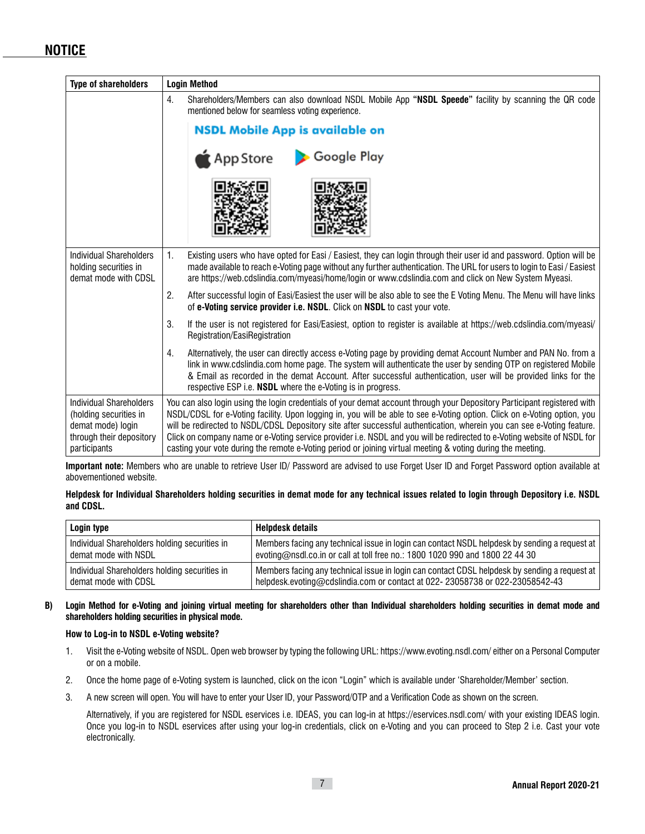# **NOTICE**

| <b>Type of shareholders</b>                                                                                        | <b>Login Method</b>                                                                                                                                                                                                                                                                                                                                                                                                                                                                                                                                                                                                      |  |
|--------------------------------------------------------------------------------------------------------------------|--------------------------------------------------------------------------------------------------------------------------------------------------------------------------------------------------------------------------------------------------------------------------------------------------------------------------------------------------------------------------------------------------------------------------------------------------------------------------------------------------------------------------------------------------------------------------------------------------------------------------|--|
|                                                                                                                    | 4.<br>Shareholders/Members can also download NSDL Mobile App "NSDL Speede" facility by scanning the QR code<br>mentioned below for seamless voting experience.<br><b>NSDL Mobile App is available on</b>                                                                                                                                                                                                                                                                                                                                                                                                                 |  |
|                                                                                                                    |                                                                                                                                                                                                                                                                                                                                                                                                                                                                                                                                                                                                                          |  |
|                                                                                                                    | Google Play<br>App Store                                                                                                                                                                                                                                                                                                                                                                                                                                                                                                                                                                                                 |  |
|                                                                                                                    |                                                                                                                                                                                                                                                                                                                                                                                                                                                                                                                                                                                                                          |  |
| <b>Individual Shareholders</b><br>holding securities in<br>demat mode with CDSL                                    | 1.<br>Existing users who have opted for Easi / Easiest, they can login through their user id and password. Option will be<br>made available to reach e-Voting page without any further authentication. The URL for users to login to Easi / Easiest<br>are https://web.cdslindia.com/myeasi/home/login or www.cdslindia.com and click on New System Myeasi.                                                                                                                                                                                                                                                              |  |
|                                                                                                                    | 2.<br>After successful login of Easi/Easiest the user will be also able to see the E Voting Menu. The Menu will have links<br>of e-Voting service provider i.e. NSDL. Click on NSDL to cast your vote.                                                                                                                                                                                                                                                                                                                                                                                                                   |  |
|                                                                                                                    | 3.<br>If the user is not registered for Easi/Easiest, option to register is available at https://web.cdslindia.com/myeasi/<br>Registration/EasiRegistration                                                                                                                                                                                                                                                                                                                                                                                                                                                              |  |
|                                                                                                                    | Alternatively, the user can directly access e-Voting page by providing demat Account Number and PAN No. from a<br>4.<br>link in www.cdslindia.com home page. The system will authenticate the user by sending OTP on registered Mobile<br>& Email as recorded in the demat Account. After successful authentication, user will be provided links for the<br>respective ESP <i>i.e.</i> <b>NSDL</b> where the e-Voting is in progress.                                                                                                                                                                                    |  |
| Individual Shareholders<br>(holding securities in<br>demat mode) login<br>through their depository<br>participants | You can also login using the login credentials of your demat account through your Depository Participant registered with<br>NSDL/CDSL for e-Voting facility. Upon logging in, you will be able to see e-Voting option. Click on e-Voting option, you<br>will be redirected to NSDL/CDSL Depository site after successful authentication, wherein you can see e-Voting feature.<br>Click on company name or e-Voting service provider i.e. NSDL and you will be redirected to e-Voting website of NSDL for<br>casting your vote during the remote e-Voting period or joining virtual meeting & voting during the meeting. |  |

**Important note:** Members who are unable to retrieve User ID/ Password are advised to use Forget User ID and Forget Password option available at abovementioned website.

| Helpdesk for Individual Shareholders holding securities in demat mode for any technical issues related to login through Depository i.e. NSDL |  |
|----------------------------------------------------------------------------------------------------------------------------------------------|--|
| and CDSL.                                                                                                                                    |  |

| Login type                                    | <b>Helpdesk details</b>                                                                       |
|-----------------------------------------------|-----------------------------------------------------------------------------------------------|
| Individual Shareholders holding securities in | Members facing any technical issue in login can contact NSDL helpdesk by sending a request at |
| demat mode with NSDL                          | evoting@nsdl.co.in or call at toll free no.: 1800 1020 990 and 1800 22 44 30                  |
| Individual Shareholders holding securities in | Members facing any technical issue in login can contact CDSL helpdesk by sending a request at |
| demat mode with CDSL                          | helpdesk.evoting@cdslindia.com or contact at 022-23058738 or 022-23058542-43                  |

**B) Login Method for e-Voting and joining virtual meeting for shareholders other than Individual shareholders holding securities in demat mode and shareholders holding securities in physical mode.**

#### **How to Log-in to NSDL e-Voting website?**

- 1. Visit the e-Voting website of NSDL. Open web browser by typing the following URL: https://www.evoting.nsdl.com/ either on a Personal Computer or on a mobile.
- 2. Once the home page of e-Voting system is launched, click on the icon "Login" which is available under 'Shareholder/Member' section.
- 3. A new screen will open. You will have to enter your User ID, your Password/OTP and a Verification Code as shown on the screen.

 Alternatively, if you are registered for NSDL eservices i.e. IDEAS, you can log-in at https://eservices.nsdl.com/ with your existing IDEAS login. Once you log-in to NSDL eservices after using your log-in credentials, click on e-Voting and you can proceed to Step 2 i.e. Cast your vote electronically.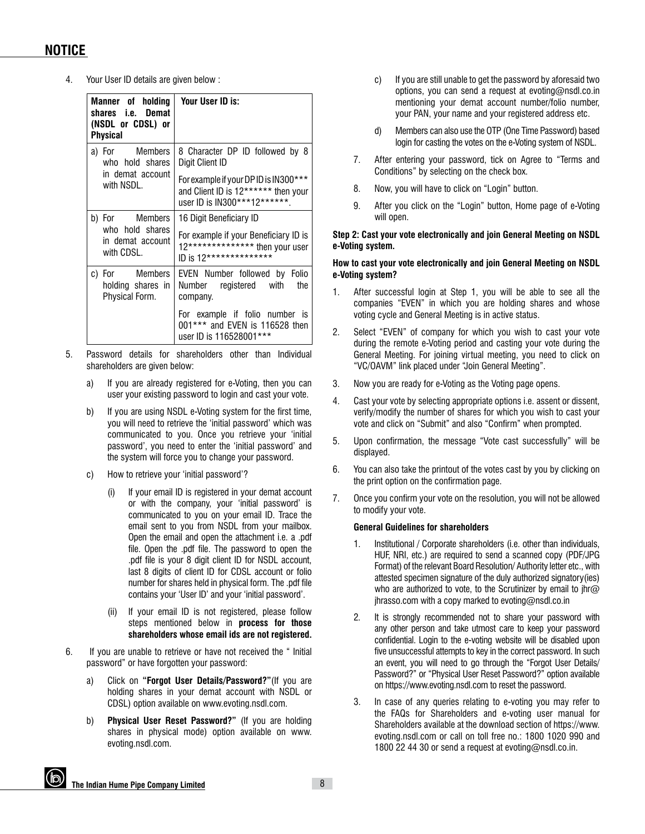4. Your User ID details are given below :

| Manner of holding<br>shares i.e. Demat<br>(NSDL or CDSL) or<br><b>Physical</b> | Your User ID is:                                                                                                              |
|--------------------------------------------------------------------------------|-------------------------------------------------------------------------------------------------------------------------------|
| a) For Members<br>who hold shares                                              | 8 Character DP ID followed by 8<br>Digit Client ID                                                                            |
| in demat account<br>with NSDL.                                                 | For example if your DP ID is IN300***<br>and Client ID is 12****** then your<br>user ID is IN300***12******.                  |
| b) For Members<br>who hold shares<br>in demat account<br>with CDSL.            | 16 Digit Beneficiary ID<br>For example if your Beneficiary ID is<br>12************** then your user<br>ID is 12************** |
| c) For Members<br>holding shares in<br>Physical Form.                          | EVEN Number followed by Folio<br>Number<br>registered with<br>the<br>company.                                                 |
|                                                                                | For example if folio number is<br>001*** and EVEN is 116528 then<br>user ID is 116528001***                                   |

- 5. Password details for shareholders other than Individual shareholders are given below:
	- a) If you are already registered for e-Voting, then you can user your existing password to login and cast your vote.
	- b) If you are using NSDL e-Voting system for the first time, you will need to retrieve the 'initial password' which was communicated to you. Once you retrieve your 'initial password', you need to enter the 'initial password' and the system will force you to change your password.
	- c) How to retrieve your 'initial password'?
		- (i) If your email ID is registered in your demat account or with the company, your 'initial password' is communicated to you on your email ID. Trace the email sent to you from NSDL from your mailbox. Open the email and open the attachment i.e. a .pdf file. Open the .pdf file. The password to open the .pdf file is your 8 digit client ID for NSDL account, last 8 digits of client ID for CDSL account or folio number for shares held in physical form. The .pdf file contains your 'User ID' and your 'initial password'.
		- (ii) If your email ID is not registered, please follow steps mentioned below in **process for those shareholders whose email ids are not registered.**
- 6. If you are unable to retrieve or have not received the " Initial password" or have forgotten your password:
	- a) Click on **"Forgot User Details/Password?"**(If you are holding shares in your demat account with NSDL or CDSL) option available on www.evoting.nsdl.com.
	- b) **Physical User Reset Password?"** (If you are holding shares in physical mode) option available on www. evoting.nsdl.com.
- c) If you are still unable to get the password by aforesaid two options, you can send a request at evoting@nsdl.co.in mentioning your demat account number/folio number, your PAN, your name and your registered address etc.
- d) Members can also use the OTP (One Time Password) based login for casting the votes on the e-Voting system of NSDL.
- 7. After entering your password, tick on Agree to "Terms and Conditions" by selecting on the check box.
- 8. Now, you will have to click on "Login" button.
- 9. After you click on the "Login" button, Home page of e-Voting will open.

#### **Step 2: Cast your vote electronically and join General Meeting on NSDL e-Voting system.**

#### **How to cast your vote electronically and join General Meeting on NSDL e-Voting system?**

- 1. After successful login at Step 1, you will be able to see all the companies "EVEN" in which you are holding shares and whose voting cycle and General Meeting is in active status.
- 2. Select "EVEN" of company for which you wish to cast your vote during the remote e-Voting period and casting your vote during the General Meeting. For joining virtual meeting, you need to click on "VC/OAVM" link placed under "Join General Meeting".
- 3. Now you are ready for e-Voting as the Voting page opens.
- 4. Cast your vote by selecting appropriate options i.e. assent or dissent, verify/modify the number of shares for which you wish to cast your vote and click on "Submit" and also "Confirm" when prompted.
- 5. Upon confirmation, the message "Vote cast successfully" will be displayed.
- 6. You can also take the printout of the votes cast by you by clicking on the print option on the confirmation page.
- 7. Once you confirm your vote on the resolution, you will not be allowed to modify your vote.

#### **General Guidelines for shareholders**

- 1. Institutional / Corporate shareholders (i.e. other than individuals, HUF, NRI, etc.) are required to send a scanned copy (PDF/JPG Format) of the relevant Board Resolution/ Authority letter etc., with attested specimen signature of the duly authorized signatory(ies) who are authorized to vote, to the Scrutinizer by email to jhr $@$ jhrasso.com with a copy marked to evoting@nsdl.co.in
- 2. It is strongly recommended not to share your password with any other person and take utmost care to keep your password confidential. Login to the e-voting website will be disabled upon five unsuccessful attempts to key in the correct password. In such an event, you will need to go through the "Forgot User Details/ Password?" or "Physical User Reset Password?" option available on https://www.evoting.nsdl.com to reset the password.
- 3. In case of any queries relating to e-voting you may refer to the FAQs for Shareholders and e-voting user manual for Shareholders available at the download section of https://www. evoting.nsdl.com or call on toll free no.: 1800 1020 990 and 1800 22 44 30 or send a request at evoting@nsdl.co.in.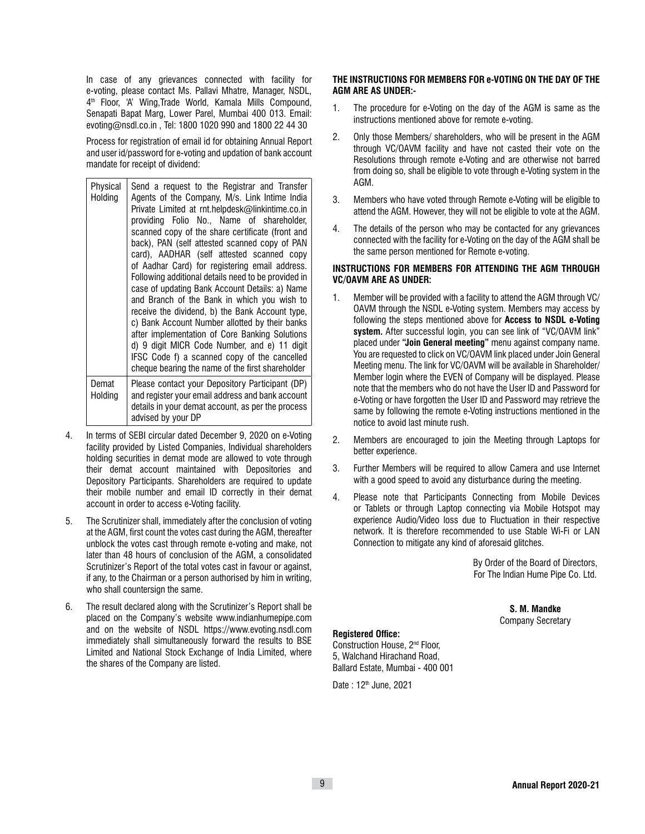In case of any grievances connected with facility for e-voting, please contact Ms. Pallavi Mhatre, Manager, NSDL, 4th Floor, 'A' Wing,Trade World, Kamala Mills Compound, Senapati Bapat Marg, Lower Parel, Mumbai 400 013. Email: evoting@nsdl.co.in , Tel: 1800 1020 990 and 1800 22 44 30

 Process for registration of email id for obtaining Annual Report and user id/password for e-voting and updation of bank account mandate for receipt of dividend:

| Physical<br>Holding | Send a request to the Registrar and Transfer<br>Agents of the Company, M/s. Link Intime India<br>Private Limited at rnt.helpdesk@linkintime.co.in<br>providing Folio No., Name of shareholder,<br>scanned copy of the share certificate (front and<br>back), PAN (self attested scanned copy of PAN<br>card), AADHAR (self attested scanned copy<br>of Aadhar Card) for registering email address.<br>Following additional details need to be provided in<br>case of updating Bank Account Details: a) Name<br>and Branch of the Bank in which you wish to<br>receive the dividend, b) the Bank Account type,<br>c) Bank Account Number allotted by their banks<br>after implementation of Core Banking Solutions<br>d) 9 digit MICR Code Number, and e) 11 digit<br>IFSC Code f) a scanned copy of the cancelled<br>cheque bearing the name of the first shareholder |
|---------------------|-----------------------------------------------------------------------------------------------------------------------------------------------------------------------------------------------------------------------------------------------------------------------------------------------------------------------------------------------------------------------------------------------------------------------------------------------------------------------------------------------------------------------------------------------------------------------------------------------------------------------------------------------------------------------------------------------------------------------------------------------------------------------------------------------------------------------------------------------------------------------|
| Demat<br>Holding    | Please contact your Depository Participant (DP)<br>and register your email address and bank account<br>details in your demat account, as per the process<br>advised by your DP                                                                                                                                                                                                                                                                                                                                                                                                                                                                                                                                                                                                                                                                                        |

- 4. In terms of SEBI circular dated December 9, 2020 on e-Voting facility provided by Listed Companies, Individual shareholders holding securities in demat mode are allowed to vote through their demat account maintained with Depositories and Depository Participants. Shareholders are required to update their mobile number and email ID correctly in their demat account in order to access e-Voting facility.
- 5. The Scrutinizer shall, immediately after the conclusion of voting at the AGM, first count the votes cast during the AGM, thereafter unblock the votes cast through remote e-voting and make, not later than 48 hours of conclusion of the AGM, a consolidated Scrutinizer's Report of the total votes cast in favour or against, if any, to the Chairman or a person authorised by him in writing, who shall countersign the same.
- 6. The result declared along with the Scrutinizer's Report shall be placed on the Company's website www.indianhumepipe.com and on the website of NSDL https://www.evoting.nsdl.com immediately shall simultaneously forward the results to BSE Limited and National Stock Exchange of India Limited, where the shares of the Company are listed.

## **THE INSTRUCTIONS FOR MEMBERS FOR e-VOTING ON THE DAY OF THE AGM ARE AS UNDER:-**

- 1. The procedure for e-Voting on the day of the AGM is same as the instructions mentioned above for remote e-voting.
- 2. Only those Members/ shareholders, who will be present in the AGM through VC/OAVM facility and have not casted their vote on the Resolutions through remote e-Voting and are otherwise not barred from doing so, shall be eligible to vote through e-Voting system in the AGM.
- 3. Members who have voted through Remote e-Voting will be eligible to attend the AGM. However, they will not be eligible to vote at the AGM.
- 4. The details of the person who may be contacted for any grievances connected with the facility for e-Voting on the day of the AGM shall be the same person mentioned for Remote e-voting.

## **INSTRUCTIONS FOR MEMBERS FOR ATTENDING THE AGM THROUGH VC/OAVM ARE AS UNDER:**

- 1. Member will be provided with a facility to attend the AGM through VC/ OAVM through the NSDL e-Voting system. Members may access by following the steps mentioned above for **Access to NSDL e-Voting system.** After successful login, you can see link of "VC/OAVM link" placed under **"Join General meeting"** menu against company name. You are requested to click on VC/OAVM link placed under Join General Meeting menu. The link for VC/OAVM will be available in Shareholder/ Member login where the EVEN of Company will be displayed. Please note that the members who do not have the User ID and Password for e-Voting or have forgotten the User ID and Password may retrieve the same by following the remote e-Voting instructions mentioned in the notice to avoid last minute rush.
- 2. Members are encouraged to join the Meeting through Laptops for better experience.
- 3. Further Members will be required to allow Camera and use Internet with a good speed to avoid any disturbance during the meeting.
- 4. Please note that Participants Connecting from Mobile Devices or Tablets or through Laptop connecting via Mobile Hotspot may experience Audio/Video loss due to Fluctuation in their respective network. It is therefore recommended to use Stable Wi-Fi or LAN Connection to mitigate any kind of aforesaid glitches.

By Order of the Board of Directors, For The Indian Hume Pipe Co. Ltd.

> **S. M. Mandke** Company Secretary

## **Registered Office:**

Construction House, 2nd Floor, 5, Walchand Hirachand Road, Ballard Estate, Mumbai - 400 001

Date: 12<sup>th</sup> June, 2021